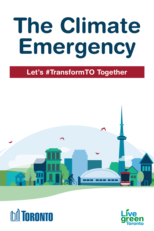# The Climate **Emergency**

#### Let's #TransformTO Together





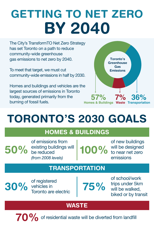# GETTING TO NET ZERO BY 2040

The City's TransformTO Net Zero Strategy has set Toronto on a path to reduce community-wide greenhouse gas emissions to net zero by 2040.

To meet that target, we must cut community-wide emissions in half by 2030.

Homes and buildings and vehicles are the largest sources of emissions in Toronto today, generated primarily from the burning of fossil fuels.



## TORONTO'S 2030 GOALS

#### HOMES & BUILDINGS

50% existing buildings will of emissions from be reduced *(from 2008 levels)*

100%

of new buildings will be designed to near net zero emissions

#### **TRANSPORTATION**

 $30\%$  of registered  $75\%$ 

of school/work trips under 5km will be walked, biked or by transit

#### **WASTE**

 $70\%$  of residential waste will be diverted from landfill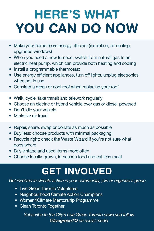# HERE'S WHAT YOU CAN DO NOW

- Make your home more energy efficient (insulation, air sealing, upgraded windows)
- When you need a new furnace, switch from natural gas to an electric heat pump, which can provide both heating and cooling
- Install a programmable thermostat
- Use energy efficient appliances, turn off lights, unplug electronics when not in use
- Consider a green or cool roof when replacing your roof
- Walk, cycle, take transit and telework regularly
- Choose an electric or hybrid vehicle over gas or diesel-powered
- Don't idle your vehicle
- Minimize air travel
- Repair, share, swap or donate as much as possible
- Buy less; choose products with minimal packaging
- Recycle right; check the Waste Wizard if you're not sure what goes where
- Buy vintage and used items more often
- Choose locally-grown, in-season food and eat less meat

### GET INVOLVED

*Get involved in climate action in your community; join or organize a group*

- [Live Green Toronto Volunteers](https://www.toronto.ca/community-people/get-involved/volunteer-with-the-city/live-green-toronto-volunteer/)
- [Neighbourhood Climate Action Champions](https://www.toronto.ca/services-payments/water-environment/live-green-toronto/neighbourhood-climate-action-champions/)
- [Women4Climate Mentorship Programme](https://www.toronto.ca/services-payments/water-environment/live-green-toronto/women4climate-mentorship-program/)
- [Clean Toronto Together](https://www.toronto.ca/explore-enjoy/festivals-events/clean-toronto-together/)

*Subscribe to the City's Live Green Toronto news and follow @livegreenTO on social media*